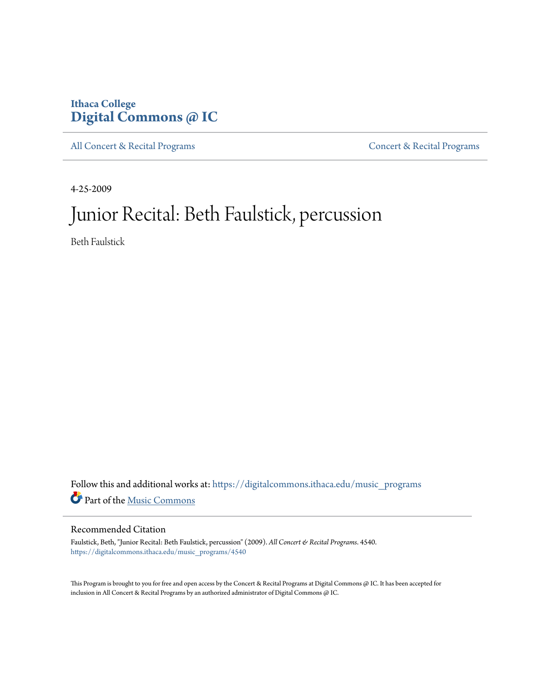### **Ithaca College [Digital Commons @ IC](https://digitalcommons.ithaca.edu?utm_source=digitalcommons.ithaca.edu%2Fmusic_programs%2F4540&utm_medium=PDF&utm_campaign=PDFCoverPages)**

[All Concert & Recital Programs](https://digitalcommons.ithaca.edu/music_programs?utm_source=digitalcommons.ithaca.edu%2Fmusic_programs%2F4540&utm_medium=PDF&utm_campaign=PDFCoverPages) **[Concert & Recital Programs](https://digitalcommons.ithaca.edu/som_programs?utm_source=digitalcommons.ithaca.edu%2Fmusic_programs%2F4540&utm_medium=PDF&utm_campaign=PDFCoverPages)** 

4-25-2009

## Junior Recital: Beth Faulstick, percussion

Beth Faulstick

Follow this and additional works at: [https://digitalcommons.ithaca.edu/music\\_programs](https://digitalcommons.ithaca.edu/music_programs?utm_source=digitalcommons.ithaca.edu%2Fmusic_programs%2F4540&utm_medium=PDF&utm_campaign=PDFCoverPages) Part of the [Music Commons](http://network.bepress.com/hgg/discipline/518?utm_source=digitalcommons.ithaca.edu%2Fmusic_programs%2F4540&utm_medium=PDF&utm_campaign=PDFCoverPages)

#### Recommended Citation

Faulstick, Beth, "Junior Recital: Beth Faulstick, percussion" (2009). *All Concert & Recital Programs*. 4540. [https://digitalcommons.ithaca.edu/music\\_programs/4540](https://digitalcommons.ithaca.edu/music_programs/4540?utm_source=digitalcommons.ithaca.edu%2Fmusic_programs%2F4540&utm_medium=PDF&utm_campaign=PDFCoverPages)

This Program is brought to you for free and open access by the Concert & Recital Programs at Digital Commons @ IC. It has been accepted for inclusion in All Concert & Recital Programs by an authorized administrator of Digital Commons @ IC.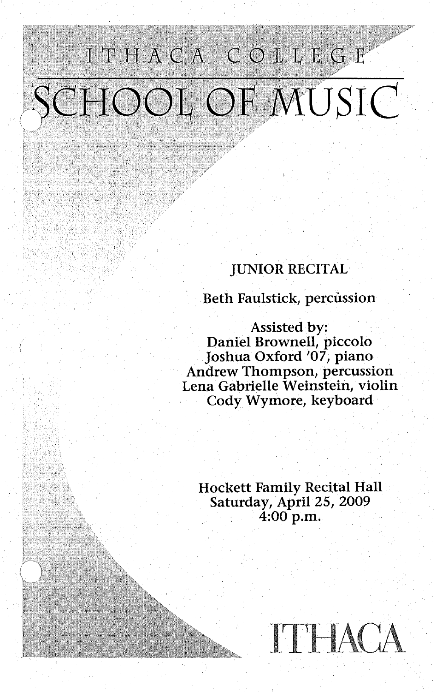# ITHACA COLLEGE SCHOOL OF MUSIC

### JUNIOR RECITAL

Beth Faulstick, percussion

Assisted by: Daniel Brownell, piccolo Joshua Oxford '07, piano Andrew Thompson, percussion Lena Gabrielle Weinstein, violin Cody Wymore, keyboard

Hockett Family Recital Hall Saturday, April 25, 2009 4:00 p.m.